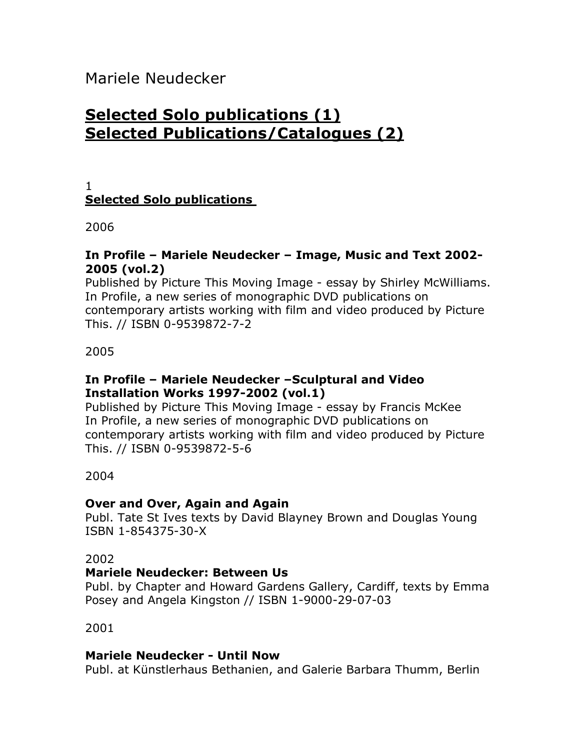Mariele Neudecker

# **Selected Solo publications (1) Selected Publications/Catalogues (2)**

#### 1 **Selected Solo publications**

2006

#### **In Profile – Mariele Neudecker – Image, Music and Text 2002- 2005 (vol.2)**

Published by Picture This Moving Image - essay by Shirley McWilliams. In Profile, a new series of monographic DVD publications on contemporary artists working with film and video produced by Picture This. // ISBN 0-9539872-7-2

2005

## **In Profile – Mariele Neudecker –Sculptural and Video Installation Works 1997-2002 (vol.1)**

Published by Picture This Moving Image - essay by Francis McKee In Profile, a new series of monographic DVD publications on contemporary artists working with film and video produced by Picture This. // ISBN 0-9539872-5-6

## 2004

## **Over and Over, Again and Again**

Publ. Tate St Ives texts by David Blayney Brown and Douglas Young ISBN 1-854375-30-X

## 2002

## **Mariele Neudecker: Between Us**

Publ. by Chapter and Howard Gardens Gallery, Cardiff, texts by Emma Posey and Angela Kingston // ISBN 1-9000-29-07-03

2001

## **Mariele Neudecker - Until Now**

Publ. at Künstlerhaus Bethanien, and Galerie Barbara Thumm, Berlin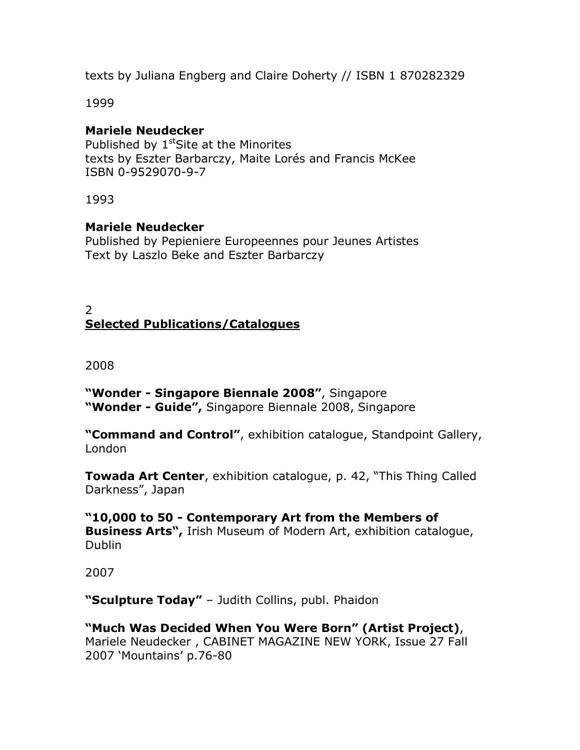texts by Juliana Engberg and Claire Doherty // ISBN 1 870282329

1999

#### **Mariele Neudecker**

Published by 1<sup>st</sup>Site at the Minorites texts by Eszter Barbarczy, Maite Lorés and Francis McKee ISBN 0-9529070-9-7

1993

#### **Mariele Neudecker**

Published by Pepieniere Europeennes pour Jeunes Artistes Text by Laszlo Beke and Eszter Barbarczy

## 2 **Selected Publications/Catalogues**

#### 2008

**"Wonder - Singapore Biennale 2008"**, Singapore **"Wonder - Guide",** Singapore Biennale 2008, Singapore

**"Command and Control"**, exhibition catalogue, Standpoint Gallery, London

**Towada Art Center**, exhibition catalogue, p. 42, "This Thing Called Darkness", Japan

**"10,000 to 50 - Contemporary Art from the Members of Business Arts",** Irish Museum of Modern Art, exhibition catalogue, Dublin

2007

**"Sculpture Today"** – Judith Collins, publ. Phaidon

**"Much Was Decided When You Were Born" (Artist Project)**, Mariele Neudecker , CABINET MAGAZINE NEW YORK, Issue 27 Fall 2007 'Mountains' p.76-80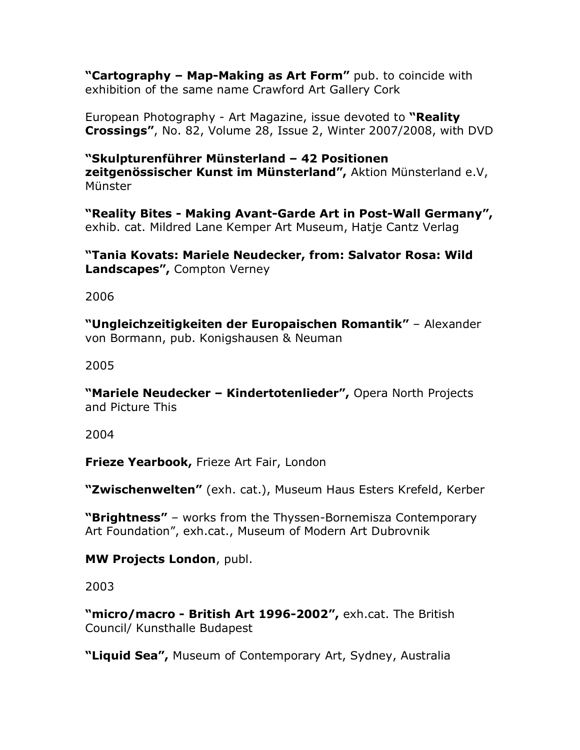**"Cartography – Map-Making as Art Form"** pub. to coincide with exhibition of the same name Crawford Art Gallery Cork

European Photography - Art Magazine, issue devoted to **"Reality Crossings"**, No. 82, Volume 28, Issue 2, Winter 2007/2008, with DVD

**"Skulpturenführer Münsterland – 42 Positionen zeitgenössischer Kunst im Münsterland",** Aktion Münsterland e.V, Münster

**"Reality Bites - Making Avant-Garde Art in Post-Wall Germany",** exhib. cat. Mildred Lane Kemper Art Museum, Hatje Cantz Verlag

**"Tania Kovats: Mariele Neudecker, from: Salvator Rosa: Wild Landscapes",** Compton Verney

2006

**"Ungleichzeitigkeiten der Europaischen Romantik"** – Alexander von Bormann, pub. Konigshausen & Neuman

2005

**"Mariele Neudecker – Kindertotenlieder",** Opera North Projects and Picture This

2004

**Frieze Yearbook,** Frieze Art Fair, London

**"Zwischenwelten"** (exh. cat.), Museum Haus Esters Krefeld, Kerber

**"Brightness"** – works from the Thyssen-Bornemisza Contemporary Art Foundation", exh.cat., Museum of Modern Art Dubrovnik

**MW Projects London**, publ.

2003

**"micro/macro - British Art 1996-2002",** exh.cat. The British Council/ Kunsthalle Budapest

**"Liquid Sea",** Museum of Contemporary Art, Sydney, Australia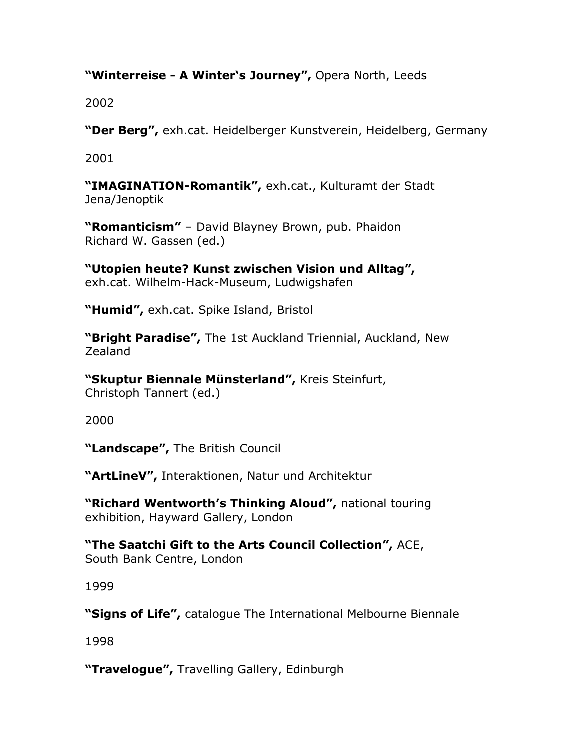## **"Winterreise - A Winter's Journey",** Opera North, Leeds

2002

**"Der Berg",** exh.cat. Heidelberger Kunstverein, Heidelberg, Germany

2001

**"IMAGINATION-Romantik",** exh.cat., Kulturamt der Stadt Jena/Jenoptik

**"Romanticism"** – David Blayney Brown, pub. Phaidon Richard W. Gassen (ed.)

**"Utopien heute? Kunst zwischen Vision und Alltag",** exh.cat. Wilhelm-Hack-Museum, Ludwigshafen

**"Humid",** exh.cat. Spike Island, Bristol

**"Bright Paradise",** The 1st Auckland Triennial, Auckland, New Zealand

**"Skuptur Biennale Münsterland",** Kreis Steinfurt, Christoph Tannert (ed.)

2000

**"Landscape",** The British Council

**"ArtLineV",** Interaktionen, Natur und Architektur

**"Richard Wentworth's Thinking Aloud",** national touring exhibition, Hayward Gallery, London

**"The Saatchi Gift to the Arts Council Collection",** ACE, South Bank Centre, London

1999

**"Signs of Life",** catalogue The International Melbourne Biennale

1998

**"Travelogue",** Travelling Gallery, Edinburgh